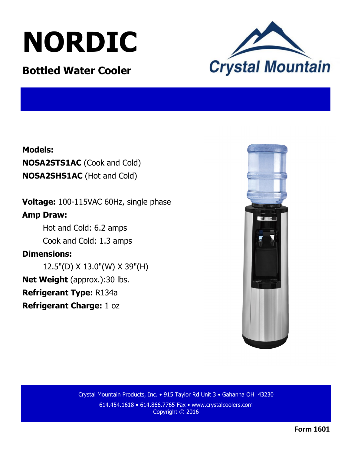# **NORDIC**

### **Bottled Water Cooler**



#### **Models:**

**NOSA2STS1AC** (Cook and Cold) **NOSA2SHS1AC** (Hot and Cold)

**Voltage:** 100-115VAC 60Hz, single phase **Amp Draw:** 

> Hot and Cold: 6.2 amps Cook and Cold: 1.3 amps

#### **Dimensions:**

12.5"(D) X 13.0"(W) X 39"(H) **Net Weight** (approx.):30 lbs.

**Refrigerant Type:** R134a

**Refrigerant Charge:** 1 oz



Crystal Mountain Products, Inc. • 915 Taylor Rd Unit 3 • Gahanna OH 43230 614.454.1618 • 614.866.7765 Fax • www.crystalcoolers.com Copyright © 2016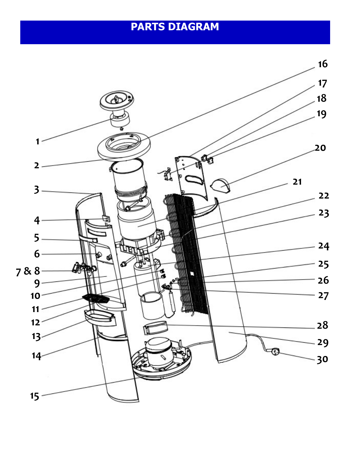## **PARTS DIAGRAM**

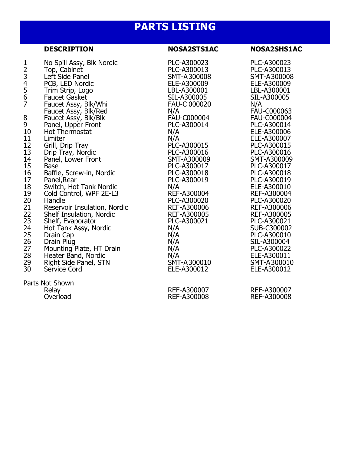## **PARTS LISTING**

|                                                                                                                                                                               | <b>DESCRIPTION</b>                                                                                                                                                                                                                                                                                                                                                                                                                                                                                                                                                                                                                                                        | <b>NOSA2STS1AC</b>                                                                                                                                                                                                                                                                                                                                                                                                   | <b>NOSA2SHS1AC</b>                                                                                                                                                                                                                                                                                                                                                                                                                                                    |
|-------------------------------------------------------------------------------------------------------------------------------------------------------------------------------|---------------------------------------------------------------------------------------------------------------------------------------------------------------------------------------------------------------------------------------------------------------------------------------------------------------------------------------------------------------------------------------------------------------------------------------------------------------------------------------------------------------------------------------------------------------------------------------------------------------------------------------------------------------------------|----------------------------------------------------------------------------------------------------------------------------------------------------------------------------------------------------------------------------------------------------------------------------------------------------------------------------------------------------------------------------------------------------------------------|-----------------------------------------------------------------------------------------------------------------------------------------------------------------------------------------------------------------------------------------------------------------------------------------------------------------------------------------------------------------------------------------------------------------------------------------------------------------------|
| 1234567<br>$\begin{array}{c} 8 \\ 9 \\ 10 \end{array}$<br>11<br>$\frac{12}{13}$<br>15<br>16<br>$17\,$<br>18<br>19<br>20<br>22<br>23<br>24<br>25<br>25<br>27<br>28<br>29<br>30 | No Spill Assy, Blk Nordic<br>Top, Cabinet<br>Left Side Panel<br>PCB, LED Nordic<br>Trim Strip, Logo<br>Faucet Gasket<br>Faucet Assy, Blk/Whi<br>Faucet Assy, Blk/Red<br>Faucet Assy, Blk/Blk<br>Panel, Upper Front<br>Hot Thermostat<br>Limiter<br>Grill, Drip Tray<br>Drip Tray, Nordic<br>Panel, Lower Front<br><b>Base</b><br>Baffle, Screw-in, Nordic<br>Panel, Rear<br>Switch, Hot Tank Nordic<br>Cold Control, WPF 2E-L3<br>Handle<br>Reservoir Insulation, Nordic<br>Shelf Insulation, Nordic<br>Shelf, Evaporator<br>Hot Tank Assy, Nordic<br>Drain Cap<br>Drain Plug<br>Mounting Plate, HT Drain<br>Heater Band, Nordic<br>Right Side Panel, STN<br>Service Cord | PLC-A300023<br>PLC-A300013<br>SMT-A300008<br>ELE-A300009<br>LBL-A300001<br>SIL-A300005<br><b>FAU-C 000020</b><br>N/A<br><b>FAU-C000004</b><br>PLC-A300014<br>N/A<br>N/A<br>PLC-A300015<br>PLC-A300016<br>SMT-A300009<br>PLC-A300017<br>PLC-A300018<br>PLC-A300019<br>N/A<br>REF-A300004<br>PLC-A300020<br>REF-A300006<br>REF-A300005<br>PLC-A300021<br>N/A<br>N/A<br>N/A<br>N/A<br>N/A<br>SMT-A300010<br>ELE-A300012 | PLC-A300023<br>PLC-A300013<br>SMT-A300008<br>ELE-A300009<br>LBL-A300001<br>SIL-A300005<br>N/A<br>FAU-C000063<br>FAU-C000004<br>PLC-A300014<br>ELE-A300006<br>ELE-A300007<br>PLC-A300015<br>PLC-A300016<br>SMT-A300009<br>PLC-A300017<br>PLC-A300018<br>PLC-A300019<br>ELE-A300010<br>REF-A300004<br>PLC-A300020<br>REF-A300006<br>REF-A300005<br>PLC-A300021<br>SUB-C300002<br>PLC-A300010<br>SIL-A300004<br>PLC-A300022<br>ELE-A300011<br>SMT-A300010<br>ELE-A300012 |
|                                                                                                                                                                               | Parts Not Shown<br>Relay<br>Overload                                                                                                                                                                                                                                                                                                                                                                                                                                                                                                                                                                                                                                      | REF-A300007<br>REF-A300008                                                                                                                                                                                                                                                                                                                                                                                           | REF-A300007<br>REF-A300008                                                                                                                                                                                                                                                                                                                                                                                                                                            |